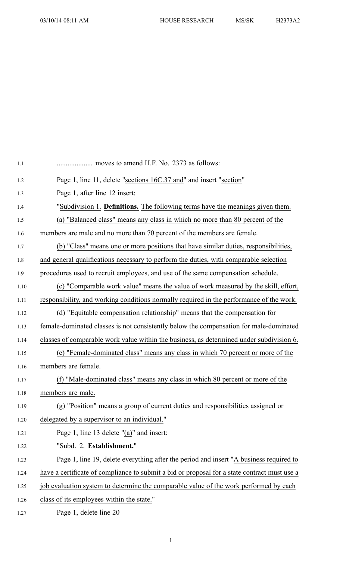| 1.1  | moves to amend H.F. No. 2373 as follows:                                                     |
|------|----------------------------------------------------------------------------------------------|
| 1.2  | Page 1, line 11, delete "sections 16C.37 and" and insert "section"                           |
| 1.3  | Page 1, after line 12 insert:                                                                |
| 1.4  | "Subdivision 1. Definitions. The following terms have the meanings given them.               |
| 1.5  | (a) "Balanced class" means any class in which no more than 80 percent of the                 |
| 1.6  | members are male and no more than 70 percent of the members are female.                      |
| 1.7  | (b) "Class" means one or more positions that have similar duties, responsibilities,          |
| 1.8  | and general qualifications necessary to perform the duties, with comparable selection        |
| 1.9  | procedures used to recruit employees, and use of the same compensation schedule.             |
| 1.10 | (c) "Comparable work value" means the value of work measured by the skill, effort,           |
| 1.11 | responsibility, and working conditions normally required in the performance of the work.     |
| 1.12 | (d) "Equitable compensation relationship" means that the compensation for                    |
| 1.13 | female-dominated classes is not consistently below the compensation for male-dominated       |
| 1.14 | classes of comparable work value within the business, as determined under subdivision 6.     |
| 1.15 | (e) "Female-dominated class" means any class in which 70 percent or more of the              |
| 1.16 | members are female.                                                                          |
| 1.17 | (f) "Male-dominated class" means any class in which 80 percent or more of the                |
| 1.18 | members are male.                                                                            |
| 1.19 | (g) "Position" means a group of current duties and responsibilities assigned or              |
| 1.20 | delegated by a supervisor to an individual."                                                 |
| 1.21 | Page 1, line 13 delete "(a)" and insert:                                                     |
| 1.22 | "Subd. 2. Establishment."                                                                    |
| 1.23 | Page 1, line 19, delete everything after the period and insert "A business required to       |
| 1.24 | have a certificate of compliance to submit a bid or proposal for a state contract must use a |
| 1.25 | job evaluation system to determine the comparable value of the work performed by each        |
| 1.26 | class of its employees within the state."                                                    |
| 1.27 | Page 1, delete line 20                                                                       |